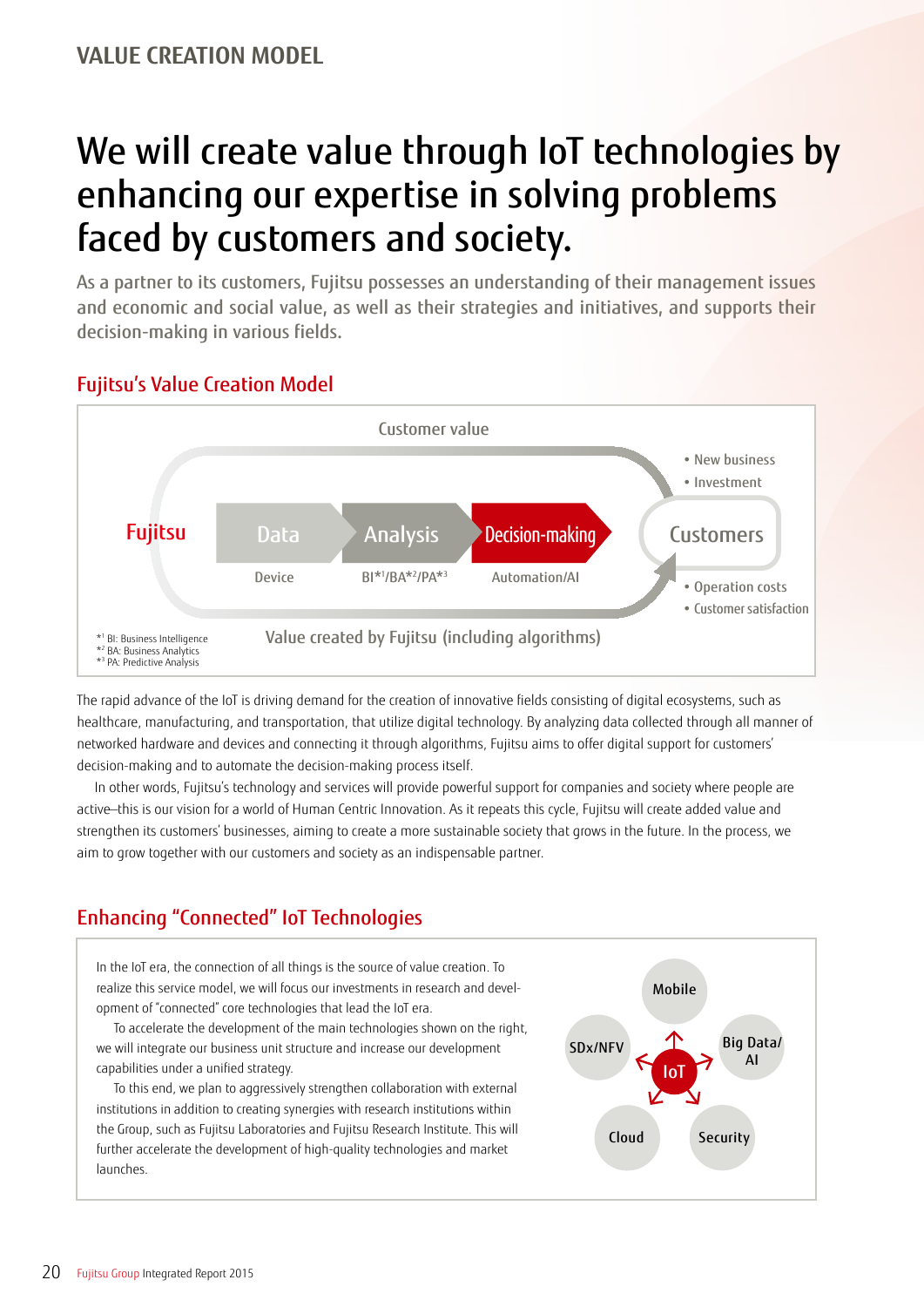# We will create value through IoT technologies by enhancing our expertise in solving problems faced by customers and society.

As a partner to its customers, Fujitsu possesses an understanding of their management issues and economic and social value, as well as their strategies and initiatives, and supports their decision-making in various fields.

## Fujitsu's Value Creation Model



The rapid advance of the IoT is driving demand for the creation of innovative fields consisting of digital ecosystems, such as healthcare, manufacturing, and transportation, that utilize digital technology. By analyzing data collected through all manner of networked hardware and devices and connecting it through algorithms, Fujitsu aims to offer digital support for customers' decision-making and to automate the decision-making process itself.

In other words, Fujitsu's technology and services will provide powerful support for companies and society where people are active—this is our vision for a world of Human Centric Innovation. As it repeats this cycle, Fujitsu will create added value and strengthen its customers' businesses, aiming to create a more sustainable society that grows in the future. In the process, we aim to grow together with our customers and society as an indispensable partner.

## Enhancing "Connected" IoT Technologies

In the IoT era, the connection of all things is the source of value creation. To realize this service model, we will focus our investments in research and development of "connected" core technologies that lead the IoT era.

To accelerate the development of the main technologies shown on the right, we will integrate our business unit structure and increase our development capabilities under a unified strategy.

To this end, we plan to aggressively strengthen collaboration with external institutions in addition to creating synergies with research institutions within the Group, such as Fujitsu Laboratories and Fujitsu Research Institute. This will further accelerate the development of high-quality technologies and market launches.